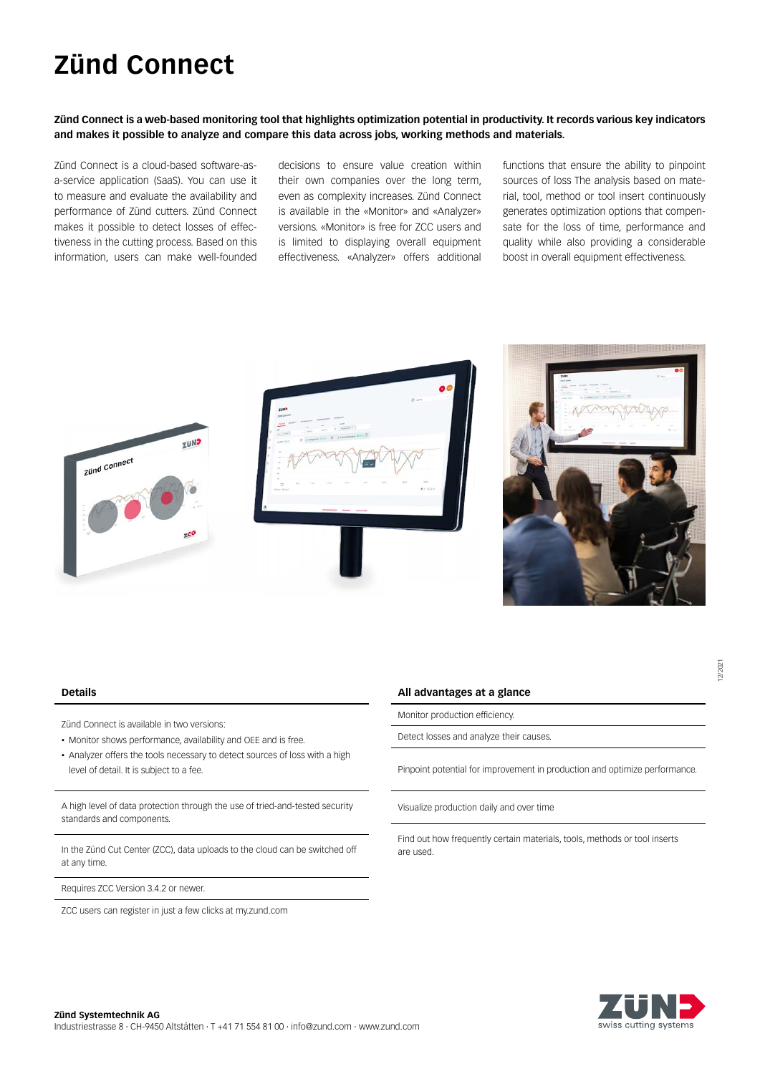## **Zünd Connect**

**Zünd Connect is a web-based monitoring tool that highlights optimization potential in productivity. It records various key indicators and makes it possible to analyze and compare this data across jobs, working methods and materials.**

Zünd Connect is a cloud-based software-asa-service application (SaaS). You can use it to measure and evaluate the availability and performance of Zünd cutters. Zünd Connect makes it possible to detect losses of effectiveness in the cutting process. Based on this information, users can make well-founded decisions to ensure value creation within their own companies over the long term, even as complexity increases. Zünd Connect is available in the «Monitor» and «Analyzer» versions. «Monitor» is free for ZCC users and is limited to displaying overall equipment effectiveness. «Analyzer» offers additional

functions that ensure the ability to pinpoint sources of loss The analysis based on material, tool, method or tool insert continuously generates optimization options that compensate for the loss of time, performance and quality while also providing a considerable boost in overall equipment effectiveness.



## **Details**

Zünd Connect is available in two versions:

- Monitor shows performance, availability and OEE and is free.
- Analyzer offers the tools necessary to detect sources of loss with a high level of detail. It is subject to a fee.

A high level of data protection through the use of tried-and-tested security standards and components.

In the Zünd Cut Center (ZCC), data uploads to the cloud can be switched off at any time.

Requires ZCC Version 3.4.2 or newer.

ZCC users can register in just a few clicks at my.zund.com

## **All advantages at a glance**

Monitor production efficiency.

Detect losses and analyze their causes.

Pinpoint potential for improvement in production and optimize performance.

Visualize production daily and over time

Find out how frequently certain materials, tools, methods or tool inserts are used.